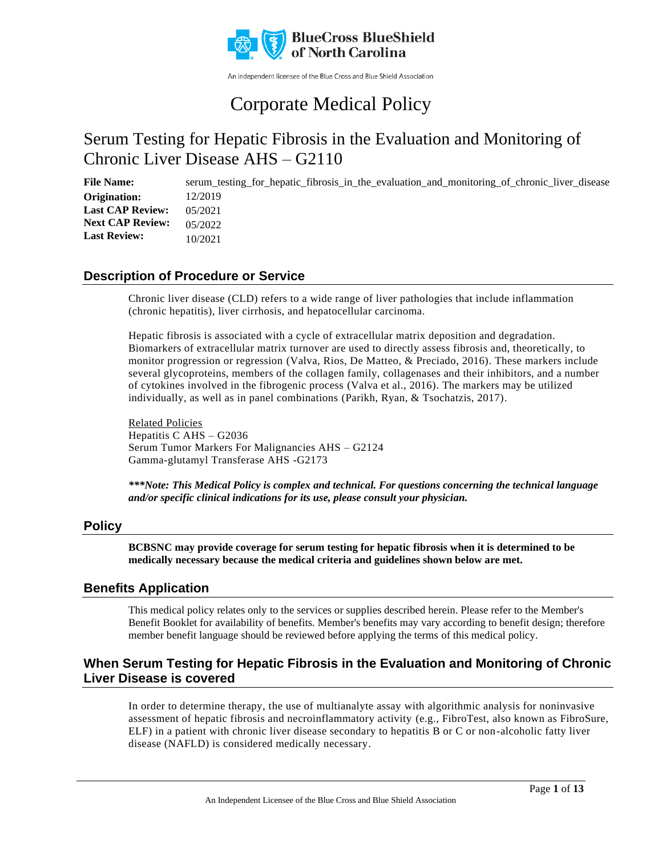

An independent licensee of the Blue Cross and Blue Shield Association

# Corporate Medical Policy

## Serum Testing for Hepatic Fibrosis in the Evaluation and Monitoring of Chronic Liver Disease AHS – G2110

File Name: serum testing for hepatic fibrosis in the evaluation and monitoring of chronic liver disease 12/2019 05/2021 05/2022 10/2021 **Origination: Last CAP Review: Next CAP Review: Last Review:**

### **Description of Procedure or Service**

Chronic liver disease (CLD) refers to a wide range of liver pathologies that include inflammation (chronic hepatitis), liver cirrhosis, and hepatocellular carcinoma.

Hepatic fibrosis is associated with a cycle of extracellular matrix deposition and degradation. Biomarkers of extracellular matrix turnover are used to directly assess fibrosis and, theoretically, to monitor progression or regression (Valva, Rios, De Matteo, & Preciado, 2016). These markers include several glycoproteins, members of the collagen family, collagenases and their inhibitors, and a number of cytokines involved in the fibrogenic process (Valva et al., 2016). The markers may be utilized individually, as well as in panel combinations (Parikh, Ryan, & Tsochatzis, 2017).

Related Policies Hepatitis C AHS – G2036 Serum Tumor Markers For Malignancies AHS – G2124 Gamma-glutamyl Transferase AHS -G2173

*\*\*\*Note: This Medical Policy is complex and technical. For questions concerning the technical language and/or specific clinical indications for its use, please consult your physician.*

### **Policy**

**BCBSNC may provide coverage for serum testing for hepatic fibrosis when it is determined to be medically necessary because the medical criteria and guidelines shown below are met.**

### **Benefits Application**

This medical policy relates only to the services or supplies described herein. Please refer to the Member's Benefit Booklet for availability of benefits. Member's benefits may vary according to benefit design; therefore member benefit language should be reviewed before applying the terms of this medical policy.

### **When Serum Testing for Hepatic Fibrosis in the Evaluation and Monitoring of Chronic Liver Disease is covered**

In order to determine therapy, the use of multianalyte assay with algorithmic analysis for noninvasive assessment of hepatic fibrosis and necroinflammatory activity (e.g., FibroTest, also known as FibroSure, ELF) in a patient with chronic liver disease secondary to hepatitis B or C or non-alcoholic fatty liver disease (NAFLD) is considered medically necessary.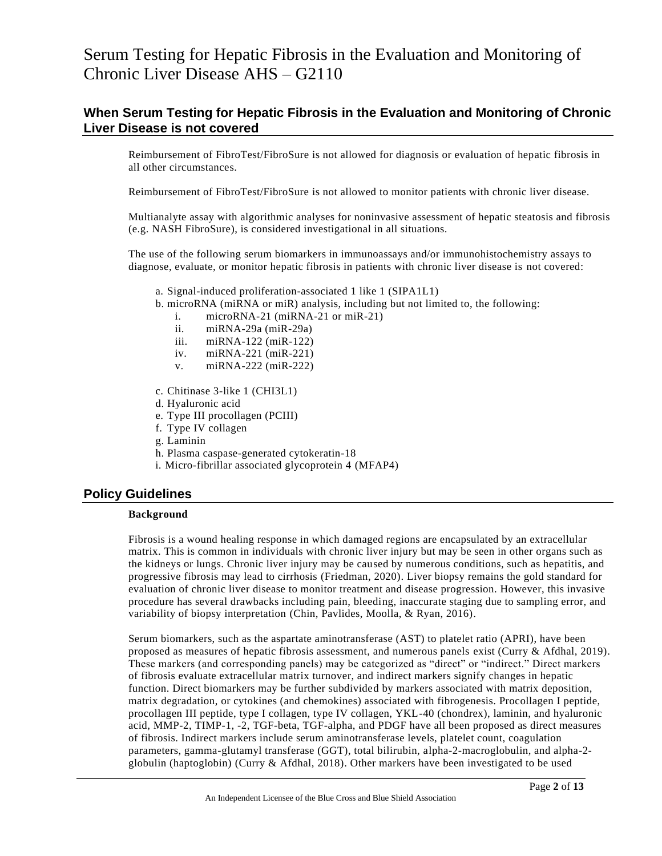### **When Serum Testing for Hepatic Fibrosis in the Evaluation and Monitoring of Chronic Liver Disease is not covered**

Reimbursement of FibroTest/FibroSure is not allowed for diagnosis or evaluation of hepatic fibrosis in all other circumstances.

Reimbursement of FibroTest/FibroSure is not allowed to monitor patients with chronic liver disease.

Multianalyte assay with algorithmic analyses for noninvasive assessment of hepatic steatosis and fibrosis (e.g. NASH FibroSure), is considered investigational in all situations.

The use of the following serum biomarkers in immunoassays and/or immunohistochemistry assays to diagnose, evaluate, or monitor hepatic fibrosis in patients with chronic liver disease is not covered:

- a. Signal-induced proliferation-associated 1 like 1 (SIPA1L1)
- b. microRNA (miRNA or miR) analysis, including but not limited to, the following:
	- i. microRNA-21 (miRNA-21 or miR-21)
	- ii. miRNA-29a (miR-29a)
	- iii. miRNA-122 (miR-122)
	- iv. miRNA-221 (miR-221)
	- v. miRNA-222 (miR-222)
- c. Chitinase 3-like 1 (CHI3L1)
- d. Hyaluronic acid
- e. Type III procollagen (PCIII)
- f. Type IV collagen
- g. Laminin
- h. Plasma caspase-generated cytokeratin-18
- i. Micro-fibrillar associated glycoprotein 4 (MFAP4)

### **Policy Guidelines**

### **Background**

Fibrosis is a wound healing response in which damaged regions are encapsulated by an extracellular matrix. This is common in individuals with chronic liver injury but may be seen in other organs such as the kidneys or lungs. Chronic liver injury may be caused by numerous conditions, such as hepatitis, and progressive fibrosis may lead to cirrhosis (Friedman, 2020). Liver biopsy remains the gold standard for evaluation of chronic liver disease to monitor treatment and disease progression. However, this invasive procedure has several drawbacks including pain, bleeding, inaccurate staging due to sampling error, and variability of biopsy interpretation (Chin, Pavlides, Moolla, & Ryan, 2016).

Serum biomarkers, such as the aspartate aminotransferase (AST) to platelet ratio (APRI), have been proposed as measures of hepatic fibrosis assessment, and numerous panels exist (Curry & Afdhal, 2019). These markers (and corresponding panels) may be categorized as "direct" or "indirect." Direct markers of fibrosis evaluate extracellular matrix turnover, and indirect markers signify changes in hepatic function. Direct biomarkers may be further subdivided by markers associated with matrix deposition, matrix degradation, or cytokines (and chemokines) associated with fibrogenesis. Procollagen I peptide, procollagen III peptide, type I collagen, type IV collagen, YKL-40 (chondrex), laminin, and hyaluronic acid, MMP-2, TIMP-1, -2, TGF-beta, TGF-alpha, and PDGF have all been proposed as direct measures of fibrosis. Indirect markers include serum aminotransferase levels, platelet count, coagulation parameters, gamma-glutamyl transferase (GGT), total bilirubin, alpha-2-macroglobulin, and alpha-2 globulin (haptoglobin) (Curry  $\&$  Afdhal, 2018). Other markers have been investigated to be used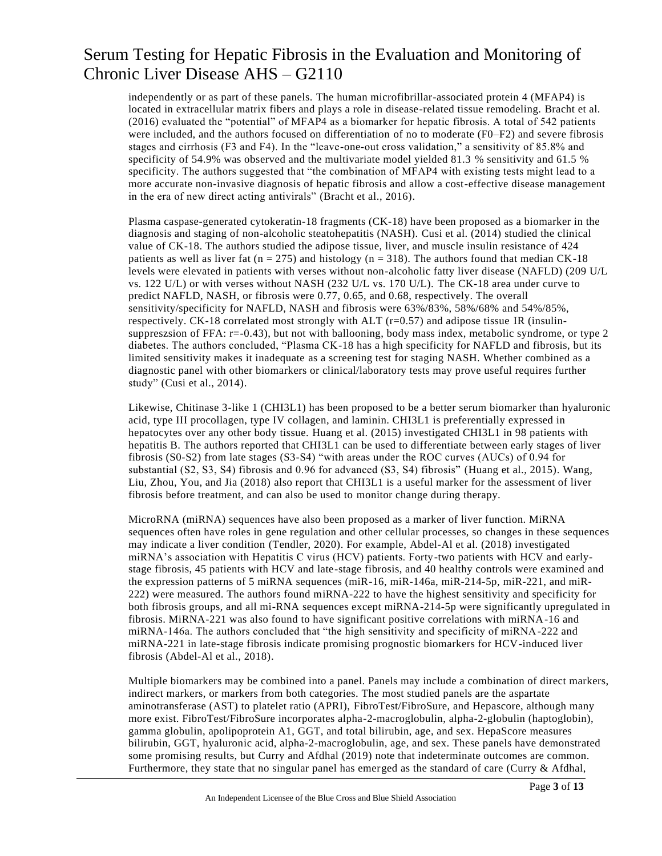independently or as part of these panels. The human microfibrillar-associated protein 4 (MFAP4) is located in extracellular matrix fibers and plays a role in disease-related tissue remodeling. Bracht et al. (2016) evaluated the "potential" of MFAP4 as a biomarker for hepatic fibrosis. A total of 542 patients were included, and the authors focused on differentiation of no to moderate (F0–F2) and severe fibrosis stages and cirrhosis (F3 and F4). In the "leave-one-out cross validation," a sensitivity of 85.8% and specificity of 54.9% was observed and the multivariate model yielded 81.3 % sensitivity and 61.5 % specificity. The authors suggested that "the combination of MFAP4 with existing tests might lead to a more accurate non-invasive diagnosis of hepatic fibrosis and allow a cost-effective disease management in the era of new direct acting antivirals" (Bracht et al., 2016).

Plasma caspase-generated cytokeratin-18 fragments (CK-18) have been proposed as a biomarker in the diagnosis and staging of non-alcoholic steatohepatitis (NASH). Cusi et al. (2014) studied the clinical value of CK-18. The authors studied the adipose tissue, liver, and muscle insulin resistance of 424 patients as well as liver fat ( $n = 275$ ) and histology ( $n = 318$ ). The authors found that median CK-18 levels were elevated in patients with verses without non-alcoholic fatty liver disease (NAFLD) (209 U/L vs. 122 U/L) or with verses without NASH (232 U/L vs. 170 U/L). The CK-18 area under curve to predict NAFLD, NASH, or fibrosis were 0.77, 0.65, and 0.68, respectively. The overall sensitivity/specificity for NAFLD, NASH and fibrosis were 63%/83%, 58%/68% and 54%/85%, respectively. CK-18 correlated most strongly with ALT (r=0.57) and adipose tissue IR (insulinsuppreszsion of FFA: r=-0.43), but not with ballooning, body mass index, metabolic syndrome, or type 2 diabetes. The authors concluded, "Plasma CK-18 has a high specificity for NAFLD and fibrosis, but its limited sensitivity makes it inadequate as a screening test for staging NASH. Whether combined as a diagnostic panel with other biomarkers or clinical/laboratory tests may prove useful requires further study" (Cusi et al., 2014).

Likewise, Chitinase 3-like 1 (CHI3L1) has been proposed to be a better serum biomarker than hyaluronic acid, type III procollagen, type IV collagen, and laminin. CHI3L1 is preferentially expressed in hepatocytes over any other body tissue. Huang et al. (2015) investigated CHI3L1 in 98 patients with hepatitis B. The authors reported that CHI3L1 can be used to differentiate between early stages of liver fibrosis (S0-S2) from late stages (S3-S4) "with areas under the ROC curves (AUCs) of 0.94 for substantial (S2, S3, S4) fibrosis and 0.96 for advanced (S3, S4) fibrosis" (Huang et al., 2015). Wang, Liu, Zhou, You, and Jia (2018) also report that CHI3L1 is a useful marker for the assessment of liver fibrosis before treatment, and can also be used to monitor change during therapy.

MicroRNA (miRNA) sequences have also been proposed as a marker of liver function. MiRNA sequences often have roles in gene regulation and other cellular processes, so changes in these sequences may indicate a liver condition (Tendler, 2020). For example, Abdel-Al et al. (2018) investigated miRNA's association with Hepatitis C virus (HCV) patients. Forty-two patients with HCV and earlystage fibrosis, 45 patients with HCV and late-stage fibrosis, and 40 healthy controls were examined and the expression patterns of 5 miRNA sequences (miR-16, miR-146a, miR-214-5p, miR-221, and miR-222) were measured. The authors found miRNA-222 to have the highest sensitivity and specificity for both fibrosis groups, and all mi-RNA sequences except miRNA-214-5p were significantly upregulated in fibrosis. MiRNA-221 was also found to have significant positive correlations with miRNA-16 and miRNA-146a. The authors concluded that "the high sensitivity and specificity of miRNA-222 and miRNA-221 in late-stage fibrosis indicate promising prognostic biomarkers for HCV-induced liver fibrosis (Abdel-Al et al., 2018).

Multiple biomarkers may be combined into a panel. Panels may include a combination of direct markers, indirect markers, or markers from both categories. The most studied panels are the aspartate aminotransferase (AST) to platelet ratio (APRI), FibroTest/FibroSure, and Hepascore, although many more exist. FibroTest/FibroSure incorporates alpha-2-macroglobulin, alpha-2-globulin (haptoglobin), gamma globulin, apolipoprotein A1, GGT, and total bilirubin, age, and sex. HepaScore measures bilirubin, GGT, hyaluronic acid, alpha-2-macroglobulin, age, and sex. These panels have demonstrated some promising results, but Curry and Afdhal (2019) note that indeterminate outcomes are common. Furthermore, they state that no singular panel has emerged as the standard of care (Curry  $\&$  Afdhal,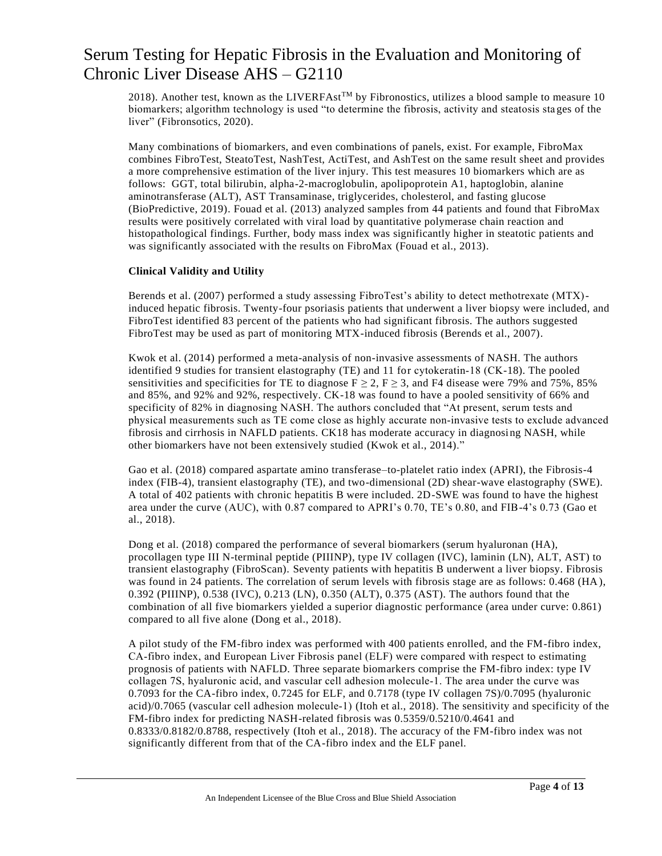2018). Another test, known as the LIVERFAst<sup>TM</sup> by Fibronostics, utilizes a blood sample to measure 10 biomarkers; algorithm technology is used "to determine the fibrosis, activity and steatosis sta ges of the liver" (Fibronsotics, 2020).

Many combinations of biomarkers, and even combinations of panels, exist. For example, FibroMax combines FibroTest, SteatoTest, NashTest, ActiTest, and AshTest on the same result sheet and provides a more comprehensive estimation of the liver injury. This test measures 10 biomarkers which are as follows: GGT, total bilirubin, alpha-2-macroglobulin, apolipoprotein A1, haptoglobin, alanine aminotransferase (ALT), AST Transaminase, triglycerides, cholesterol, and fasting glucose (BioPredictive, 2019). Fouad et al. (2013) analyzed samples from 44 patients and found that FibroMax results were positively correlated with viral load by quantitative polymerase chain reaction and histopathological findings. Further, body mass index was significantly higher in steatotic patients and was significantly associated with the results on FibroMax (Fouad et al., 2013).

### **Clinical Validity and Utility**

Berends et al. (2007) performed a study assessing FibroTest's ability to detect methotrexate (MTX) induced hepatic fibrosis. Twenty-four psoriasis patients that underwent a liver biopsy were included, and FibroTest identified 83 percent of the patients who had significant fibrosis. The authors suggested FibroTest may be used as part of monitoring MTX-induced fibrosis (Berends et al., 2007).

Kwok et al. (2014) performed a meta-analysis of non-invasive assessments of NASH. The authors identified 9 studies for transient elastography (TE) and 11 for cytokeratin‐18 (CK-18). The pooled sensitivities and specificities for TE to diagnose  $F \ge 2$ ,  $F \ge 3$ , and F4 disease were 79% and 75%, 85% and 85%, and 92% and 92%, respectively. CK-18 was found to have a pooled sensitivity of 66% and specificity of 82% in diagnosing NASH. The authors concluded that "At present, serum tests and physical measurements such as TE come close as highly accurate non‐invasive tests to exclude advanced fibrosis and cirrhosis in NAFLD patients. CK18 has moderate accuracy in diagnosing NASH, while other biomarkers have not been extensively studied (Kwok et al., 2014)."

Gao et al. (2018) compared aspartate amino transferase–to-platelet ratio index (APRI), the Fibrosis-4 index (FIB-4), transient elastography (TE), and two-dimensional (2D) shear-wave elastography (SWE). A total of 402 patients with chronic hepatitis B were included. 2D-SWE was found to have the highest area under the curve (AUC), with 0.87 compared to APRI's 0.70, TE's 0.80, and FIB-4's 0.73 (Gao et al., 2018).

Dong et al. (2018) compared the performance of several biomarkers (serum hyaluronan (HA), procollagen type III N-terminal peptide (PIIINP), type IV collagen (IVC), laminin (LN), ALT, AST) to transient elastography (FibroScan). Seventy patients with hepatitis B underwent a liver biopsy. Fibrosis was found in 24 patients. The correlation of serum levels with fibrosis stage are as follows: 0.468 (HA), 0.392 (PIIINP), 0.538 (IVC), 0.213 (LN), 0.350 (ALT), 0.375 (AST). The authors found that the combination of all five biomarkers yielded a superior diagnostic performance (area under curve: 0.861) compared to all five alone (Dong et al., 2018).

A pilot study of the FM-fibro index was performed with 400 patients enrolled, and the FM-fibro index, CA‐fibro index, and European Liver Fibrosis panel (ELF) were compared with respect to estimating prognosis of patients with NAFLD. Three separate biomarkers comprise the FM-fibro index: type IV collagen 7S, hyaluronic acid, and vascular cell adhesion molecule‐1. The area under the curve was 0.7093 for the CA-fibro index, 0.7245 for ELF, and 0.7178 (type IV collagen 7S)/0.7095 (hyaluronic acid)/0.7065 (vascular cell adhesion molecule‐1) (Itoh et al., 2018). The sensitivity and specificity of the FM-fibro index for predicting NASH-related fibrosis was 0.5359/0.5210/0.4641 and 0.8333/0.8182/0.8788, respectively (Itoh et al., 2018). The accuracy of the FM-fibro index was not significantly different from that of the CA-fibro index and the ELF panel.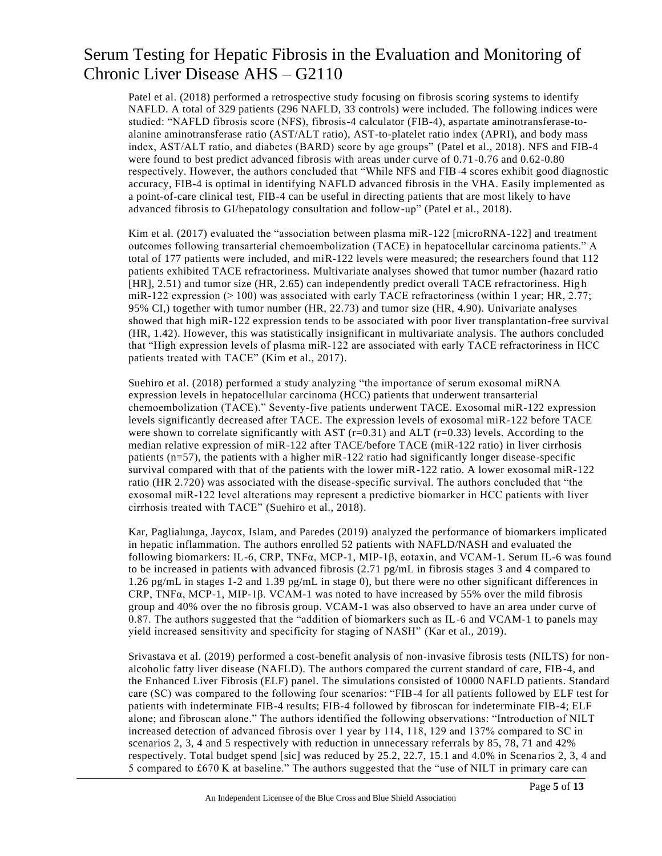Patel et al. (2018) performed a retrospective study focusing on fibrosis scoring systems to identify NAFLD. A total of 329 patients (296 NAFLD, 33 controls) were included. The following indices were studied: "NAFLD fibrosis score (NFS), fibrosis-4 calculator (FIB-4), aspartate aminotransferase-toalanine aminotransferase ratio (AST/ALT ratio), AST-to-platelet ratio index (APRI), and body mass index, AST/ALT ratio, and diabetes (BARD) score by age groups" (Patel et al., 2018). NFS and FIB-4 were found to best predict advanced fibrosis with areas under curve of 0.71-0.76 and 0.62-0.80 respectively. However, the authors concluded that "While NFS and FIB-4 scores exhibit good diagnostic accuracy, FIB-4 is optimal in identifying NAFLD advanced fibrosis in the VHA. Easily implemented as a point-of-care clinical test, FIB-4 can be useful in directing patients that are most likely to have advanced fibrosis to GI/hepatology consultation and follow-up" (Patel et al., 2018).

Kim et al. (2017) evaluated the "association between plasma miR-122 [microRNA-122] and treatment outcomes following transarterial chemoembolization (TACE) in hepatocellular carcinoma patients." A total of 177 patients were included, and miR-122 levels were measured; the researchers found that 112 patients exhibited TACE refractoriness. Multivariate analyses showed that tumor number (hazard ratio [HR], 2.51) and tumor size (HR, 2.65) can independently predict overall TACE refractoriness. Hig h miR-122 expression (> 100) was associated with early TACE refractoriness (within 1 year; HR, 2.77; 95% CI,) together with tumor number (HR, 22.73) and tumor size (HR, 4.90). Univariate analyses showed that high miR-122 expression tends to be associated with poor liver transplantation-free survival (HR, 1.42). However, this was statistically insignificant in multivariate analysis. The authors concluded that "High expression levels of plasma miR‐122 are associated with early TACE refractoriness in HCC patients treated with TACE" (Kim et al., 2017).

Suehiro et al. (2018) performed a study analyzing "the importance of serum exosomal miRNA expression levels in hepatocellular carcinoma (HCC) patients that underwent transarterial chemoembolization (TACE)." Seventy-five patients underwent TACE. Exosomal miR-122 expression levels significantly decreased after TACE. The expression levels of exosomal miR-122 before TACE were shown to correlate significantly with AST  $(r=0.31)$  and ALT  $(r=0.33)$  levels. According to the median relative expression of miR-122 after TACE/before TACE (miR-122 ratio) in liver cirrhosis patients (n=57), the patients with a higher miR-122 ratio had significantly longer disease-specific survival compared with that of the patients with the lower miR-122 ratio. A lower exosomal miR-122 ratio (HR 2.720) was associated with the disease-specific survival. The authors concluded that "the exosomal miR‑122 level alterations may represent a predictive biomarker in HCC patients with liver cirrhosis treated with TACE" (Suehiro et al., 2018).

Kar, Paglialunga, Jaycox, Islam, and Paredes (2019) analyzed the performance of biomarkers implicated in hepatic inflammation. The authors enrolled 52 patients with NAFLD/NASH and evaluated the following biomarkers: IL-6, CRP, TNFα, MCP-1, MIP-1β, eotaxin, and VCAM-1. Serum IL-6 was found to be increased in patients with advanced fibrosis (2.71 pg/mL in fibrosis stages 3 and 4 compared to 1.26 pg/mL in stages 1-2 and 1.39 pg/mL in stage 0), but there were no other significant differences in CRP, TNFα, MCP-1, MIP-1β. VCAM-1 was noted to have increased by 55% over the mild fibrosis group and 40% over the no fibrosis group. VCAM-1 was also observed to have an area under curve of 0.87. The authors suggested that the "addition of biomarkers such as IL-6 and VCAM-1 to panels may yield increased sensitivity and specificity for staging of NASH" (Kar et al., 2019).

Srivastava et al. (2019) performed a cost-benefit analysis of non-invasive fibrosis tests (NILTS) for nonalcoholic fatty liver disease (NAFLD). The authors compared the current standard of care, FIB-4, and the Enhanced Liver Fibrosis (ELF) panel. The simulations consisted of 10000 NAFLD patients. Standard care (SC) was compared to the following four scenarios: "FIB-4 for all patients followed by ELF test for patients with indeterminate FIB-4 results; FIB-4 followed by fibroscan for indeterminate FIB-4; ELF alone; and fibroscan alone." The authors identified the following observations: "Introduction of NILT increased detection of advanced fibrosis over 1 year by 114, 118, 129 and 137% compared to SC in scenarios 2, 3, 4 and 5 respectively with reduction in unnecessary referrals by 85, 78, 71 and 42% respectively. Total budget spend [sic] was reduced by  $25.2$ ,  $22.7$ ,  $15.1$  and  $4.0\%$  in Scenarios 2, 3, 4 and 5 compared to £670 K at baseline." The authors suggested that the "use of NILT in primary care can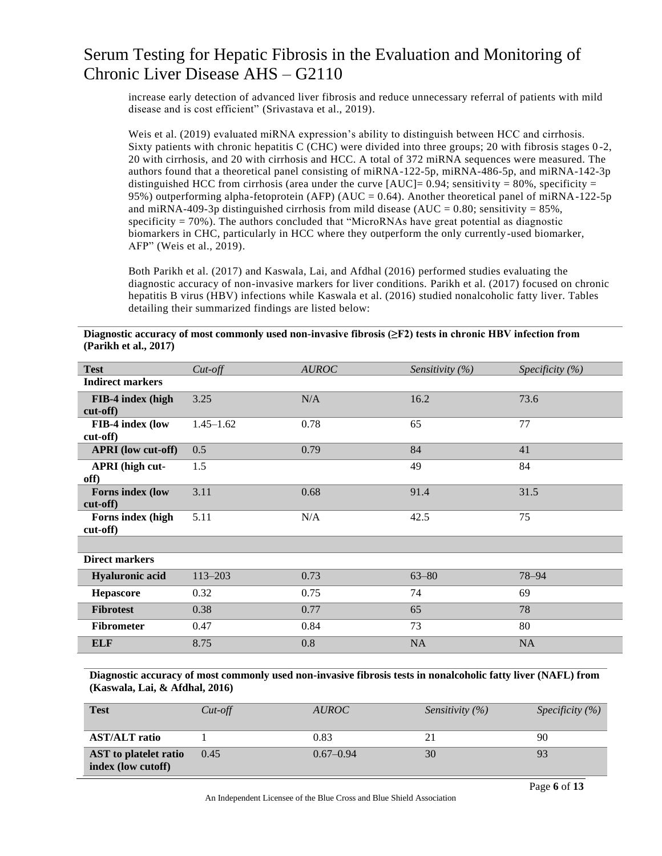increase early detection of advanced liver fibrosis and reduce unnecessary referral of patients with mild disease and is cost efficient" (Srivastava et al., 2019).

Weis et al. (2019) evaluated miRNA expression's ability to distinguish between HCC and cirrhosis. Sixty patients with chronic hepatitis C (CHC) were divided into three groups; 20 with fibrosis stages 0 -2, 20 with cirrhosis, and 20 with cirrhosis and HCC. A total of 372 miRNA sequences were measured. The authors found that a theoretical panel consisting of miRNA-122-5p, miRNA-486-5p, and miRNA-142-3p distinguished HCC from cirrhosis (area under the curve  $[AUC] = 0.94$ ; sensitivity = 80%, specificity = 95%) outperforming alpha-fetoprotein (AFP) (AUC = 0.64). Another theoretical panel of miRNA-122-5p and miRNA-409-3p distinguished cirrhosis from mild disease (AUC =  $0.80$ ; sensitivity =  $85\%$ , specificity = 70%). The authors concluded that "MicroRNAs have great potential as diagnostic biomarkers in CHC, particularly in HCC where they outperform the only currently-used biomarker, AFP" (Weis et al., 2019).

Both Parikh et al. (2017) and Kaswala, Lai, and Afdhal (2016) performed studies evaluating the diagnostic accuracy of non-invasive markers for liver conditions. Parikh et al. (2017) focused on chronic hepatitis B virus (HBV) infections while Kaswala et al. (2016) studied nonalcoholic fatty liver. Tables detailing their summarized findings are listed below:

| <b>Test</b>                   | $Cut$ - $off$ | <b>AUROC</b> | Sensitivity $(\% )$ | Specificity $(\% )$ |
|-------------------------------|---------------|--------------|---------------------|---------------------|
| <b>Indirect markers</b>       |               |              |                     |                     |
| FIB-4 index (high<br>cut-off) | 3.25          | N/A          | 16.2                | 73.6                |
| FIB-4 index (low<br>cut-off)  | $1.45 - 1.62$ | 0.78         | 65                  | 77                  |
| <b>APRI</b> (low cut-off)     | 0.5           | 0.79         | 84                  | 41                  |
| APRI (high cut-<br>off)       | 1.5           |              | 49                  | 84                  |
| Forns index (low<br>cut-off)  | 3.11          | 0.68         | 91.4                | 31.5                |
| Forns index (high<br>cut-off) | 5.11          | N/A          | 42.5                | 75                  |
|                               |               |              |                     |                     |
| <b>Direct markers</b>         |               |              |                     |                     |
| <b>Hyaluronic acid</b>        | $113 - 203$   | 0.73         | $63 - 80$           | 78-94               |
| <b>Hepascore</b>              | 0.32          | 0.75         | 74                  | 69                  |
| <b>Fibrotest</b>              | 0.38          | 0.77         | 65                  | 78                  |
| <b>Fibrometer</b>             | 0.47          | 0.84         | 73                  | 80                  |
| <b>ELF</b>                    | 8.75          | 0.8          | <b>NA</b>           | <b>NA</b>           |

**Diagnostic accuracy of most commonly used non-invasive fibrosis (≥F2) tests in chronic HBV infection from (Parikh et al., 2017)**

**Diagnostic accuracy of most commonly used non-invasive fibrosis tests in nonalcoholic fatty liver (NAFL) from (Kaswala, Lai, & Afdhal, 2016)**

| <b>Test</b>                                 | $Cut$ -off | <i>AUROC</i>  | <i>Sensitivity</i> $(\%)$ | Specificity $(\% )$ |
|---------------------------------------------|------------|---------------|---------------------------|---------------------|
| <b>AST/ALT</b> ratio                        |            | 0.83          |                           | 90                  |
| AST to platelet ratio<br>index (low cutoff) | 0.45       | $0.67 - 0.94$ | 30                        | 93                  |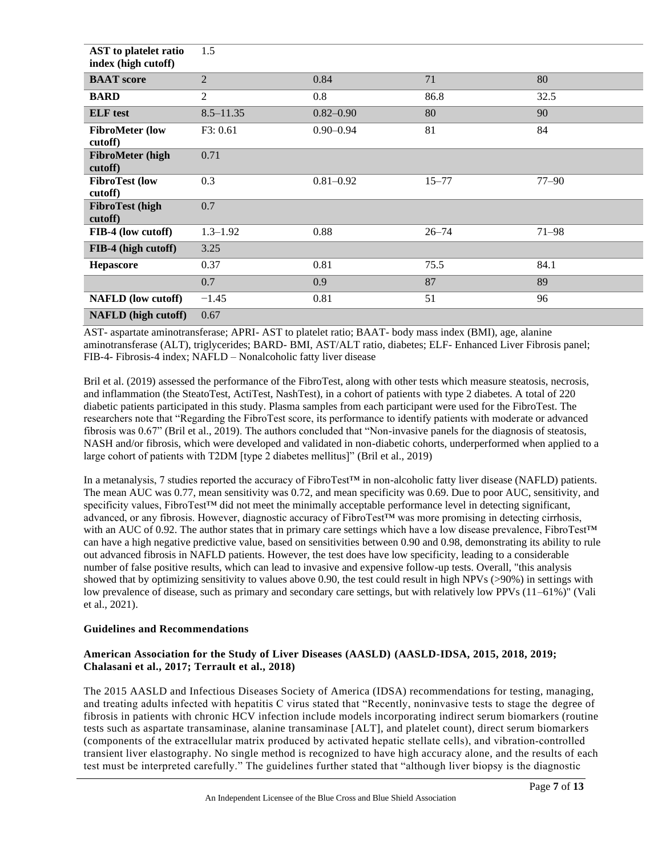| AST to platelet ratio<br>index (high cutoff) | 1.5            |               |           |           |
|----------------------------------------------|----------------|---------------|-----------|-----------|
| <b>BAAT</b> score                            | $\overline{2}$ | 0.84          | 71        | 80        |
| <b>BARD</b>                                  | $\overline{2}$ | 0.8           | 86.8      | 32.5      |
| <b>ELF</b> test                              | $8.5 - 11.35$  | $0.82 - 0.90$ | 80        | 90        |
| <b>FibroMeter</b> (low<br>cutoff)            | F3: 0.61       | $0.90 - 0.94$ | 81        | 84        |
| <b>FibroMeter</b> (high<br>cutoff)           | 0.71           |               |           |           |
| <b>FibroTest</b> (low<br>cutoff)             | 0.3            | $0.81 - 0.92$ | $15 - 77$ | $77 - 90$ |
| <b>FibroTest</b> (high<br>cutoff)            | 0.7            |               |           |           |
| FIB-4 (low cutoff)                           | $1.3 - 1.92$   | 0.88          | $26 - 74$ | $71 - 98$ |
| FIB-4 (high cutoff)                          | 3.25           |               |           |           |
| <b>Hepascore</b>                             | 0.37           | 0.81          | 75.5      | 84.1      |
|                                              | 0.7            | 0.9           | 87        | 89        |
| <b>NAFLD</b> (low cutoff)                    | $-1.45$        | 0.81          | 51        | 96        |
| <b>NAFLD</b> (high cutoff)                   | 0.67           |               |           |           |

AST- aspartate aminotransferase; APRI- AST to platelet ratio; BAAT- body mass index (BMI), age, alanine aminotransferase (ALT), triglycerides; BARD- BMI, AST/ALT ratio, diabetes; ELF- Enhanced Liver Fibrosis panel; FIB-4- Fibrosis-4 index; NAFLD – Nonalcoholic fatty liver disease

Bril et al. (2019) assessed the performance of the FibroTest, along with other tests which measure steatosis, necrosis, and inflammation (the SteatoTest, ActiTest, NashTest), in a cohort of patients with type 2 diabetes. A total of 220 diabetic patients participated in this study. Plasma samples from each participant were used for the FibroTest. The researchers note that "Regarding the FibroTest score, its performance to identify patients with moderate or advanced fibrosis was 0.67" (Bril et al., 2019). The authors concluded that "Non-invasive panels for the diagnosis of steatosis, NASH and/or fibrosis, which were developed and validated in non-diabetic cohorts, underperformed when applied to a large cohort of patients with T2DM [type 2 diabetes mellitus]" (Bril et al., 2019)

In a metanalysis, 7 studies reported the accuracy of FibroTest™ in non-alcoholic fatty liver disease (NAFLD) patients. The mean AUC was 0.77, mean sensitivity was 0.72, and mean specificity was 0.69. Due to poor AUC, sensitivity, and specificity values, FibroTest™ did not meet the minimally acceptable performance level in detecting significant, advanced, or any fibrosis. However, diagnostic accuracy of FibroTest™ was more promising in detecting cirrhosis, with an AUC of 0.92. The author states that in primary care settings which have a low disease prevalence, FibroTest™ can have a high negative predictive value, based on sensitivities between 0.90 and 0.98, demonstrating its ability to rule out advanced fibrosis in NAFLD patients. However, the test does have low specificity, leading to a considerable number of false positive results, which can lead to invasive and expensive follow-up tests. Overall, "this analysis showed that by optimizing sensitivity to values above 0.90, the test could result in high NPVs (>90%) in settings with low prevalence of disease, such as primary and secondary care settings, but with relatively low PPVs (11–61%)" (Vali et al., 2021).

### **Guidelines and Recommendations**

### **American Association for the Study of Liver Diseases (AASLD) (AASLD-IDSA, 2015, 2018, 2019; Chalasani et al., 2017; Terrault et al., 2018)**

The 2015 AASLD and Infectious Diseases Society of America (IDSA) recommendations for testing, managing, and treating adults infected with hepatitis C virus stated that "Recently, noninvasive tests to stage the degree of fibrosis in patients with chronic HCV infection include models incorporating indirect serum biomarkers (routine tests such as aspartate transaminase, alanine transaminase [ALT], and platelet count), direct serum biomarkers (components of the extracellular matrix produced by activated hepatic stellate cells), and vibration‐controlled transient liver elastography. No single method is recognized to have high accuracy alone, and the results of each test must be interpreted carefully." The guidelines further stated that "although liver biopsy is the diagnostic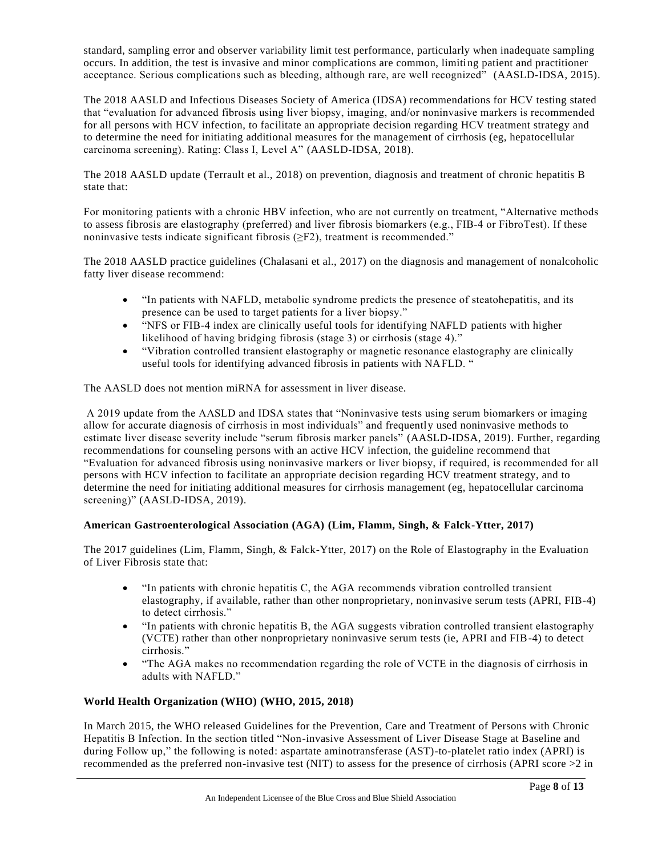standard, sampling error and observer variability limit test performance, particularly when inadequate sampling occurs. In addition, the test is invasive and minor complications are common, limiting patient and practitioner acceptance. Serious complications such as bleeding, although rare, are well recognized" (AASLD-IDSA, 2015).

The 2018 AASLD and Infectious Diseases Society of America (IDSA) recommendations for HCV testing stated that "evaluation for advanced fibrosis using liver biopsy, imaging, and/or noninvasive markers is recommended for all persons with HCV infection, to facilitate an appropriate decision regarding HCV treatment strategy and to determine the need for initiating additional measures for the management of cirrhosis (eg, hepatocellular carcinoma screening). Rating: Class I, Level A" (AASLD-IDSA, 2018).

The 2018 AASLD update (Terrault et al., 2018) on prevention, diagnosis and treatment of chronic hepatitis B state that:

For monitoring patients with a chronic HBV infection, who are not currently on treatment, "Alternative methods to assess fibrosis are elastography (preferred) and liver fibrosis biomarkers (e.g., FIB‐4 or FibroTest). If these noninvasive tests indicate significant fibrosis (≥F2), treatment is recommended."

The 2018 AASLD practice guidelines (Chalasani et al., 2017) on the diagnosis and management of nonalcoholic fatty liver disease recommend:

- "In patients with NAFLD, metabolic syndrome predicts the presence of steatohepatitis, and its presence can be used to target patients for a liver biopsy."
- "NFS or FIB-4 index are clinically useful tools for identifying NAFLD patients with higher likelihood of having bridging fibrosis (stage 3) or cirrhosis (stage 4)."
- "Vibration controlled transient elastography or magnetic resonance elastography are clinically useful tools for identifying advanced fibrosis in patients with NAFLD. "

The AASLD does not mention miRNA for assessment in liver disease.

A 2019 update from the AASLD and IDSA states that "Noninvasive tests using serum biomarkers or imaging allow for accurate diagnosis of cirrhosis in most individuals" and frequently used noninvasive methods to estimate liver disease severity include "serum fibrosis marker panels" (AASLD-IDSA, 2019). Further, regarding recommendations for counseling persons with an active HCV infection, the guideline recommend that "Evaluation for advanced fibrosis using noninvasive markers or liver biopsy, if required, is recommended for all persons with HCV infection to facilitate an appropriate decision regarding HCV treatment strategy, and to determine the need for initiating additional measures for cirrhosis management (eg, hepatocellular carcinoma screening)" (AASLD-IDSA, 2019).

### **American Gastroenterological Association (AGA) (Lim, Flamm, Singh, & Falck-Ytter, 2017)**

The 2017 guidelines (Lim, Flamm, Singh, & Falck-Ytter, 2017) on the Role of Elastography in the Evaluation of Liver Fibrosis state that:

- "In patients with chronic hepatitis C, the AGA recommends vibration controlled transient elastography, if available, rather than other nonproprietary, noninvasive serum tests (APRI, FIB-4) to detect cirrhosis."
- "In patients with chronic hepatitis B, the AGA suggests vibration controlled transient elastography (VCTE) rather than other nonproprietary noninvasive serum tests (ie, APRI and FIB-4) to detect cirrhosis."
- "The AGA makes no recommendation regarding the role of VCTE in the diagnosis of cirrhosis in adults with NAFLD."

### **World Health Organization (WHO) (WHO, 2015, 2018)**

In March 2015, the WHO released Guidelines for the Prevention, Care and Treatment of Persons with Chronic Hepatitis B Infection. In the section titled "Non-invasive Assessment of Liver Disease Stage at Baseline and during Follow up," the following is noted: aspartate aminotransferase (AST)-to-platelet ratio index (APRI) is recommended as the preferred non-invasive test (NIT) to assess for the presence of cirrhosis (APRI score >2 in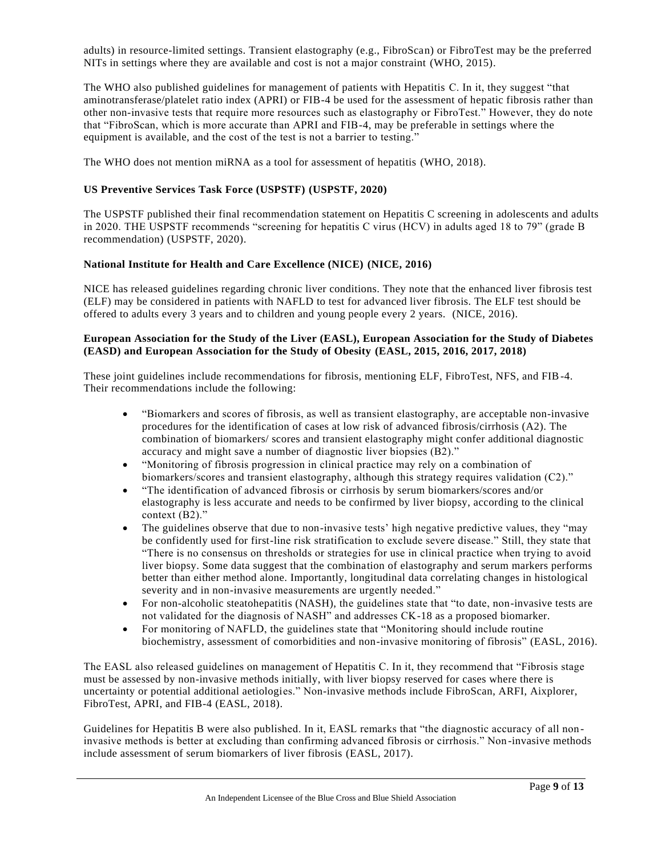adults) in resource-limited settings. Transient elastography (e.g., FibroScan) or FibroTest may be the preferred NITs in settings where they are available and cost is not a major constraint (WHO, 2015).

The WHO also published guidelines for management of patients with Hepatitis C. In it, they suggest "that aminotransferase/platelet ratio index (APRI) or FIB-4 be used for the assessment of hepatic fibrosis rather than other non-invasive tests that require more resources such as elastography or FibroTest." However, they do note that "FibroScan, which is more accurate than APRI and FIB-4, may be preferable in settings where the equipment is available, and the cost of the test is not a barrier to testing."

The WHO does not mention miRNA as a tool for assessment of hepatitis (WHO, 2018).

#### **US Preventive Services Task Force (USPSTF) (USPSTF, 2020)**

The USPSTF published their final recommendation statement on Hepatitis C screening in adolescents and adults in 2020. THE USPSTF recommends "screening for hepatitis C virus (HCV) in adults aged 18 to 79" (grade B recommendation) (USPSTF, 2020).

#### **National Institute for Health and Care Excellence (NICE) (NICE, 2016)**

NICE has released guidelines regarding chronic liver conditions. They note that the enhanced liver fibrosis test (ELF) may be considered in patients with NAFLD to test for advanced liver fibrosis. The ELF test should be offered to adults every 3 years and to children and young people every 2 years. (NICE, 2016).

### **European Association for the Study of the Liver (EASL), European Association for the Study of Diabetes (EASD) and European Association for the Study of Obesity (EASL, 2015, 2016, 2017, 2018)**

These joint guidelines include recommendations for fibrosis, mentioning ELF, FibroTest, NFS, and FIB-4. Their recommendations include the following:

- "Biomarkers and scores of fibrosis, as well as transient elastography, are acceptable non-invasive procedures for the identification of cases at low risk of advanced fibrosis/cirrhosis (A2). The combination of biomarkers/ scores and transient elastography might confer additional diagnostic accuracy and might save a number of diagnostic liver biopsies (B2)."
- "Monitoring of fibrosis progression in clinical practice may rely on a combination of biomarkers/scores and transient elastography, although this strategy requires validation (C2)."
- "The identification of advanced fibrosis or cirrhosis by serum biomarkers/scores and/or elastography is less accurate and needs to be confirmed by liver biopsy, according to the clinical context (B2)."
- The guidelines observe that due to non-invasive tests' high negative predictive values, they "may be confidently used for first-line risk stratification to exclude severe disease." Still, they state that "There is no consensus on thresholds or strategies for use in clinical practice when trying to avoid liver biopsy. Some data suggest that the combination of elastography and serum markers performs better than either method alone. Importantly, longitudinal data correlating changes in histological severity and in non-invasive measurements are urgently needed."
- For non-alcoholic steatohepatitis (NASH), the guidelines state that "to date, non-invasive tests are not validated for the diagnosis of NASH" and addresses CK-18 as a proposed biomarker.
- For monitoring of NAFLD, the guidelines state that "Monitoring should include routine biochemistry, assessment of comorbidities and non-invasive monitoring of fibrosis" (EASL, 2016).

The EASL also released guidelines on management of Hepatitis C. In it, they recommend that "Fibrosis stage must be assessed by non-invasive methods initially, with liver biopsy reserved for cases where there is uncertainty or potential additional aetiologies." Non-invasive methods include FibroScan, ARFI, Aixplorer, FibroTest, APRI, and FIB-4 (EASL, 2018).

Guidelines for Hepatitis B were also published. In it, EASL remarks that "the diagnostic accuracy of all noninvasive methods is better at excluding than confirming advanced fibrosis or cirrhosis." Non -invasive methods include assessment of serum biomarkers of liver fibrosis (EASL, 2017).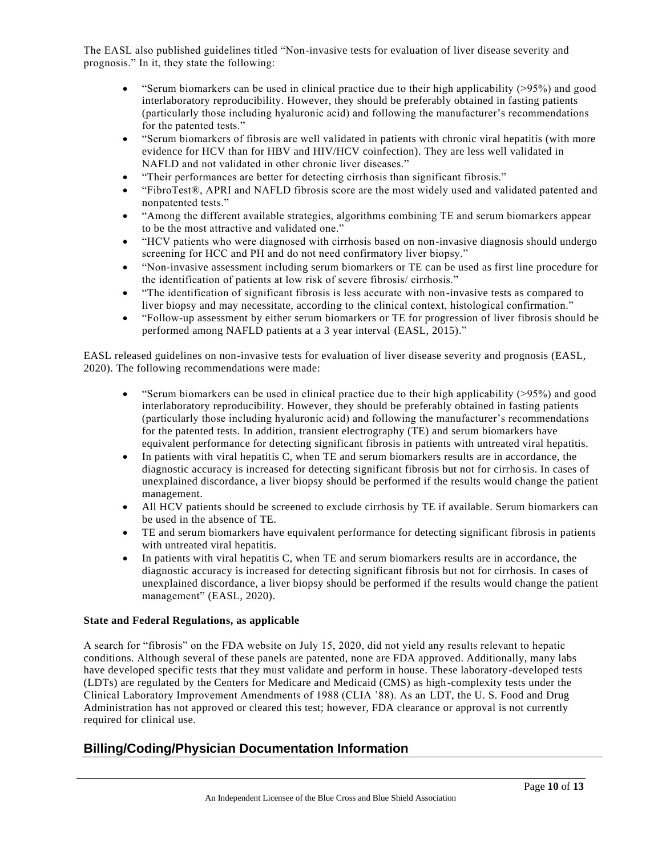The EASL also published guidelines titled "Non-invasive tests for evaluation of liver disease severity and prognosis." In it, they state the following:

- "Serum biomarkers can be used in clinical practice due to their high applicability (>95%) and good interlaboratory reproducibility. However, they should be preferably obtained in fasting patients (particularly those including hyaluronic acid) and following the manufacturer's recommendations for the patented tests."
- "Serum biomarkers of fibrosis are well validated in patients with chronic viral hepatitis (with more evidence for HCV than for HBV and HIV/HCV coinfection). They are less well validated in NAFLD and not validated in other chronic liver diseases."
- "Their performances are better for detecting cirrhosis than significant fibrosis."
- "FibroTest®, APRI and NAFLD fibrosis score are the most widely used and validated patented and nonpatented tests."
- "Among the different available strategies, algorithms combining TE and serum biomarkers appear to be the most attractive and validated one."
- "HCV patients who were diagnosed with cirrhosis based on non-invasive diagnosis should undergo screening for HCC and PH and do not need confirmatory liver biopsy."
- "Non-invasive assessment including serum biomarkers or TE can be used as first line procedure for the identification of patients at low risk of severe fibrosis/ cirrhosis."
- "The identification of significant fibrosis is less accurate with non-invasive tests as compared to liver biopsy and may necessitate, according to the clinical context, histological confirmation."
- "Follow-up assessment by either serum biomarkers or TE for progression of liver fibrosis should be performed among NAFLD patients at a 3 year interval (EASL, 2015)."

EASL released guidelines on non-invasive tests for evaluation of liver disease severity and prognosis (EASL, 2020). The following recommendations were made:

- "Serum biomarkers can be used in clinical practice due to their high applicability  $(>95%)$  and good interlaboratory reproducibility. However, they should be preferably obtained in fasting patients (particularly those including hyaluronic acid) and following the manufacturer's recommendations for the patented tests. In addition, transient electrography (TE) and serum biomarkers have equivalent performance for detecting significant fibrosis in patients with untreated viral hepatitis.
- In patients with viral hepatitis C, when TE and serum biomarkers results are in accordance, the diagnostic accuracy is increased for detecting significant fibrosis but not for cirrho sis. In cases of unexplained discordance, a liver biopsy should be performed if the results would change the patient management.
- All HCV patients should be screened to exclude cirrhosis by TE if available. Serum biomarkers can be used in the absence of TE.
- TE and serum biomarkers have equivalent performance for detecting significant fibrosis in patients with untreated viral hepatitis.
- In patients with viral hepatitis C, when TE and serum biomarkers results are in accordance, the diagnostic accuracy is increased for detecting significant fibrosis but not for cirrhosis. In cases of unexplained discordance, a liver biopsy should be performed if the results would change the patient management" (EASL, 2020).

### **State and Federal Regulations, as applicable**

A search for "fibrosis" on the FDA website on July 15, 2020, did not yield any results relevant to hepatic conditions. Although several of these panels are patented, none are FDA approved. Additionally, many labs have developed specific tests that they must validate and perform in house. These laboratory-developed tests (LDTs) are regulated by the Centers for Medicare and Medicaid (CMS) as high-complexity tests under the Clinical Laboratory Improvement Amendments of 1988 (CLIA '88). As an LDT, the U. S. Food and Drug Administration has not approved or cleared this test; however, FDA clearance or approval is not currently required for clinical use.

## **Billing/Coding/Physician Documentation Information**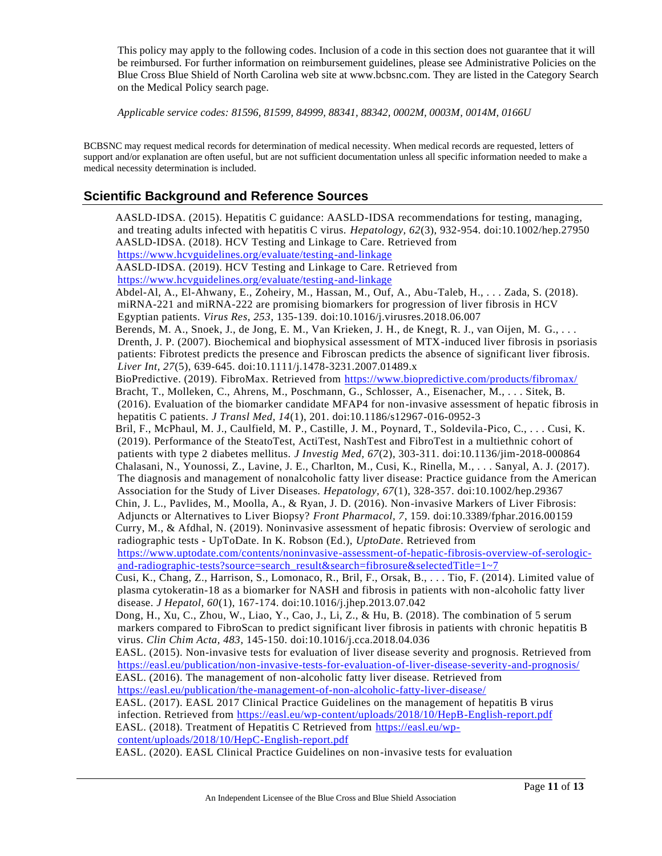This policy may apply to the following codes. Inclusion of a code in this section does not guarantee that it will be reimbursed. For further information on reimbursement guidelines, please see Administrative Policies on the Blue Cross Blue Shield of North Carolina web site at www.bcbsnc.com. They are listed in the Category Search on the Medical Policy search page.

*Applicable service codes: 81596, 81599, 84999, 88341, 88342, 0002M, 0003M, 0014M, 0166U*

BCBSNC may request medical records for determination of medical necessity. When medical records are requested, letters of support and/or explanation are often useful, but are not sufficient documentation unless all specific information needed to make a medical necessity determination is included.

### **Scientific Background and Reference Sources**

AASLD-IDSA. (2015). Hepatitis C guidance: AASLD-IDSA recommendations for testing, managing, and treating adults infected with hepatitis C virus. *Hepatology, 62*(3), 932-954. doi:10.1002/hep.27950 AASLD-IDSA. (2018). HCV Testing and Linkage to Care. Retrieved from <https://www.hcvguidelines.org/evaluate/testing-and-linkage> AASLD-IDSA. (2019). HCV Testing and Linkage to Care. Retrieved from <https://www.hcvguidelines.org/evaluate/testing-and-linkage> Abdel-Al, A., El-Ahwany, E., Zoheiry, M., Hassan, M., Ouf, A., Abu-Taleb, H., . . . Zada, S. (2018). miRNA-221 and miRNA-222 are promising biomarkers for progression of liver fibrosis in HCV Egyptian patients. *Virus Res, 253*, 135-139. doi:10.1016/j.virusres.2018.06.007 Berends, M. A., Snoek, J., de Jong, E. M., Van Krieken, J. H., de Knegt, R. J., van Oijen, M. G., . . . Drenth, J. P. (2007). Biochemical and biophysical assessment of MTX-induced liver fibrosis in psoriasis patients: Fibrotest predicts the presence and Fibroscan predicts the absence of significant liver fibrosis. *Liver Int, 27*(5), 639-645. doi:10.1111/j.1478-3231.2007.01489.x BioPredictive. (2019). FibroMax. Retrieved from<https://www.biopredictive.com/products/fibromax/> Bracht, T., Molleken, C., Ahrens, M., Poschmann, G., Schlosser, A., Eisenacher, M., . . . Sitek, B. (2016). Evaluation of the biomarker candidate MFAP4 for non-invasive assessment of hepatic fibrosis in hepatitis C patients. *J Transl Med, 14*(1), 201. doi:10.1186/s12967-016-0952-3 Bril, F., McPhaul, M. J., Caulfield, M. P., Castille, J. M., Poynard, T., Soldevila-Pico, C., . . . Cusi, K. (2019). Performance of the SteatoTest, ActiTest, NashTest and FibroTest in a multiethnic cohort of patients with type 2 diabetes mellitus. *J Investig Med, 67*(2), 303-311. doi:10.1136/jim-2018-000864 Chalasani, N., Younossi, Z., Lavine, J. E., Charlton, M., Cusi, K., Rinella, M., . . . Sanyal, A. J. (2017). The diagnosis and management of nonalcoholic fatty liver disease: Practice guidance from the American Association for the Study of Liver Diseases. *Hepatology, 67*(1), 328-357. doi:10.1002/hep.29367 Chin, J. L., Pavlides, M., Moolla, A., & Ryan, J. D. (2016). Non-invasive Markers of Liver Fibrosis: Adjuncts or Alternatives to Liver Biopsy? *Front Pharmacol, 7*, 159. doi:10.3389/fphar.2016.00159 Curry, M., & Afdhal, N. (2019). Noninvasive assessment of hepatic fibrosis: Overview of serologic and radiographic tests - UpToDate. In K. Robson (Ed.), *UptoDate*. Retrieved from [https://www.uptodate.com/contents/noninvasive-assessment-of-hepatic-fibrosis-overview-of-serologic](https://www.uptodate.com/contents/noninvasive-assessment-of-hepatic-fibrosis-overview-of-serologic-and-radiographic-tests?source=search_result&search=fibrosure&selectedTitle=1~7)[and-radiographic-tests?source=search\\_result&search=fibrosure&selectedTitle=1~7](https://www.uptodate.com/contents/noninvasive-assessment-of-hepatic-fibrosis-overview-of-serologic-and-radiographic-tests?source=search_result&search=fibrosure&selectedTitle=1~7) Cusi, K., Chang, Z., Harrison, S., Lomonaco, R., Bril, F., Orsak, B., . . . Tio, F. (2014). Limited value of plasma cytokeratin-18 as a biomarker for NASH and fibrosis in patients with non-alcoholic fatty liver disease. *J Hepatol, 60*(1), 167-174. doi:10.1016/j.jhep.2013.07.042 Dong, H., Xu, C., Zhou, W., Liao, Y., Cao, J., Li, Z., & Hu, B. (2018). The combination of 5 serum markers compared to FibroScan to predict significant liver fibrosis in patients with chronic hepatitis B virus. *Clin Chim Acta, 483*, 145-150. doi:10.1016/j.cca.2018.04.036 EASL. (2015). Non-invasive tests for evaluation of liver disease severity and prognosis. Retrieved from <https://easl.eu/publication/non-invasive-tests-for-evaluation-of-liver-disease-severity-and-prognosis/> EASL. (2016). The management of non-alcoholic fatty liver disease. Retrieved from <https://easl.eu/publication/the-management-of-non-alcoholic-fatty-liver-disease/> EASL. (2017). EASL 2017 Clinical Practice Guidelines on the management of hepatitis B virus infection. Retrieved from<https://easl.eu/wp-content/uploads/2018/10/HepB-English-report.pdf> EASL. (2018). Treatment of Hepatitis C Retrieved from [https://easl.eu/wp](https://easl.eu/wp-content/uploads/2018/10/HepC-English-report.pdf)[content/uploads/2018/10/HepC-English-report.pdf](https://easl.eu/wp-content/uploads/2018/10/HepC-English-report.pdf) EASL. (2020). EASL Clinical Practice Guidelines on non-invasive tests for evaluation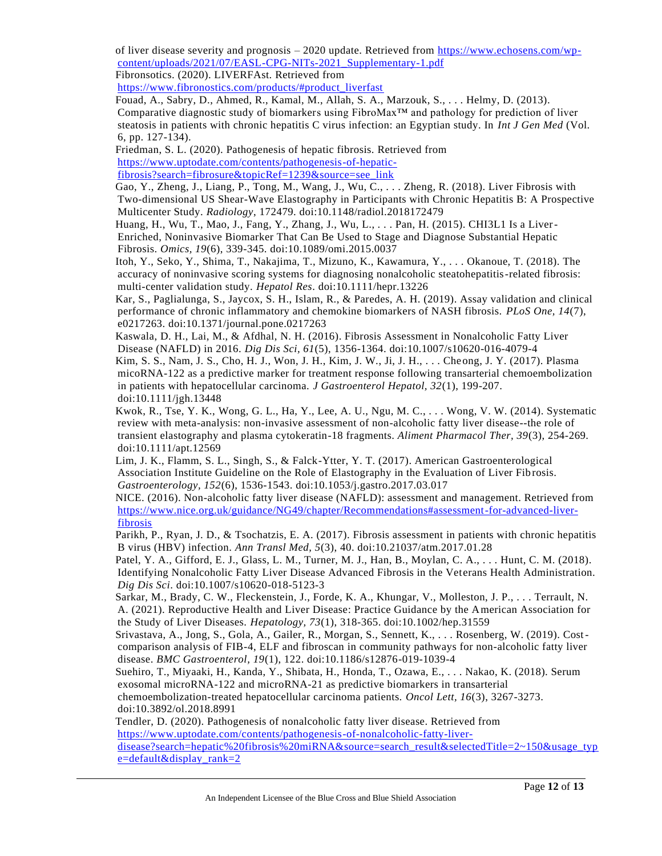of liver disease severity and prognosis  $-2020$  update. Retrieved from [https://www.echosens.com/wp](https://www.echosens.com/wp-content/uploads/2021/07/EASL-CPG-NITs-2021_Supplementary-1.pdf)[content/uploads/2021/07/EASL-CPG-NITs-2021\\_Supplementary-1.pdf](https://www.echosens.com/wp-content/uploads/2021/07/EASL-CPG-NITs-2021_Supplementary-1.pdf)

Fibronsotics. (2020). LIVERFAst. Retrieved from

[https://www.fibronostics.com/products/#product\\_liverfast](https://www.fibronostics.com/products/#product_liverfast)

Fouad, A., Sabry, D., Ahmed, R., Kamal, M., Allah, S. A., Marzouk, S., . . . Helmy, D. (2013). Comparative diagnostic study of biomarkers using FibroMax™ and pathology for prediction of liver steatosis in patients with chronic hepatitis C virus infection: an Egyptian study. In *Int J Gen Med* (Vol. 6, pp. 127-134).

Friedman, S. L. (2020). Pathogenesis of hepatic fibrosis. Retrieved from

[https://www.uptodate.com/contents/pathogenesis-of-hepatic-](https://www.uptodate.com/contents/pathogenesis-of-hepatic-fibrosis?search=fibrosure&topicRef=1239&source=see_link)

[fibrosis?search=fibrosure&topicRef=1239&source=see\\_link](https://www.uptodate.com/contents/pathogenesis-of-hepatic-fibrosis?search=fibrosure&topicRef=1239&source=see_link)

Gao, Y., Zheng, J., Liang, P., Tong, M., Wang, J., Wu, C., . . . Zheng, R. (2018). Liver Fibrosis with Two-dimensional US Shear-Wave Elastography in Participants with Chronic Hepatitis B: A Prospective Multicenter Study. *Radiology*, 172479. doi:10.1148/radiol.2018172479

Huang, H., Wu, T., Mao, J., Fang, Y., Zhang, J., Wu, L., . . . Pan, H. (2015). CHI3L1 Is a Liver-Enriched, Noninvasive Biomarker That Can Be Used to Stage and Diagnose Substantial Hepatic Fibrosis. *Omics, 19*(6), 339-345. doi:10.1089/omi.2015.0037

Itoh, Y., Seko, Y., Shima, T., Nakajima, T., Mizuno, K., Kawamura, Y., . . . Okanoue, T. (2018). The accuracy of noninvasive scoring systems for diagnosing nonalcoholic steatohepatitis-related fibrosis: multi-center validation study. *Hepatol Res*. doi:10.1111/hepr.13226

Kar, S., Paglialunga, S., Jaycox, S. H., Islam, R., & Paredes, A. H. (2019). Assay validation and clinical performance of chronic inflammatory and chemokine biomarkers of NASH fibrosis. *PLoS One, 14*(7), e0217263. doi:10.1371/journal.pone.0217263

Kaswala, D. H., Lai, M., & Afdhal, N. H. (2016). Fibrosis Assessment in Nonalcoholic Fatty Liver Disease (NAFLD) in 2016. *Dig Dis Sci, 61*(5), 1356-1364. doi:10.1007/s10620-016-4079-4

Kim, S. S., Nam, J. S., Cho, H. J., Won, J. H., Kim, J. W., Ji, J. H., . . . Cheong, J. Y. (2017). Plasma micoRNA-122 as a predictive marker for treatment response following transarterial chemoembolization in patients with hepatocellular carcinoma. *J Gastroenterol Hepatol, 32*(1), 199-207. doi:10.1111/jgh.13448

Kwok, R., Tse, Y. K., Wong, G. L., Ha, Y., Lee, A. U., Ngu, M. C., . . . Wong, V. W. (2014). Systematic review with meta-analysis: non-invasive assessment of non-alcoholic fatty liver disease--the role of transient elastography and plasma cytokeratin-18 fragments. *Aliment Pharmacol Ther, 39*(3), 254-269. doi:10.1111/apt.12569

Lim, J. K., Flamm, S. L., Singh, S., & Falck-Ytter, Y. T. (2017). American Gastroenterological Association Institute Guideline on the Role of Elastography in the Evaluation of Liver Fib rosis. *Gastroenterology, 152*(6), 1536-1543. doi:10.1053/j.gastro.2017.03.017

NICE. (2016). Non-alcoholic fatty liver disease (NAFLD): assessment and management. Retrieved from [https://www.nice.org.uk/guidance/NG49/chapter/Recommendations#assessment-for-advanced-liver](https://www.nice.org.uk/guidance/NG49/chapter/Recommendations#assessment-for-advanced-liver-fibrosis)[fibrosis](https://www.nice.org.uk/guidance/NG49/chapter/Recommendations#assessment-for-advanced-liver-fibrosis)

Parikh, P., Ryan, J. D., & Tsochatzis, E. A. (2017). Fibrosis assessment in patients with chronic hepatitis B virus (HBV) infection. *Ann Transl Med, 5*(3), 40. doi:10.21037/atm.2017.01.28

Patel, Y. A., Gifford, E. J., Glass, L. M., Turner, M. J., Han, B., Moylan, C. A., . . . Hunt, C. M. (2018). Identifying Nonalcoholic Fatty Liver Disease Advanced Fibrosis in the Veterans Health Administration. *Dig Dis Sci*. doi:10.1007/s10620-018-5123-3

Sarkar, M., Brady, C. W., Fleckenstein, J., Forde, K. A., Khungar, V., Molleston, J. P., . . . Terrault, N. A. (2021). Reproductive Health and Liver Disease: Practice Guidance by the American Association for the Study of Liver Diseases. *Hepatology, 73*(1), 318-365. doi:10.1002/hep.31559

Srivastava, A., Jong, S., Gola, A., Gailer, R., Morgan, S., Sennett, K., . . . Rosenberg, W. (2019). Costcomparison analysis of FIB-4, ELF and fibroscan in community pathways for non-alcoholic fatty liver disease. *BMC Gastroenterol, 19*(1), 122. doi:10.1186/s12876-019-1039-4

Suehiro, T., Miyaaki, H., Kanda, Y., Shibata, H., Honda, T., Ozawa, E., . . . Nakao, K. (2018). Serum exosomal microRNA-122 and microRNA-21 as predictive biomarkers in transarterial

chemoembolization-treated hepatocellular carcinoma patients. *Oncol Lett, 16*(3), 3267-3273. doi:10.3892/ol.2018.8991

Tendler, D. (2020). Pathogenesis of nonalcoholic fatty liver disease. Retrieved from [https://www.uptodate.com/contents/pathogenesis-of-nonalcoholic-fatty-liver](https://www.uptodate.com/contents/pathogenesis-of-nonalcoholic-fatty-liver-disease?search=hepatic%20fibrosis%20miRNA&source=search_result&selectedTitle=2~150&usage_type=default&display_rank=2)[disease?search=hepatic%20fibrosis%20miRNA&source=search\\_result&selectedTitle=2~150&usage\\_typ](https://www.uptodate.com/contents/pathogenesis-of-nonalcoholic-fatty-liver-disease?search=hepatic%20fibrosis%20miRNA&source=search_result&selectedTitle=2~150&usage_type=default&display_rank=2)  $e =$ default&display\_rank=2